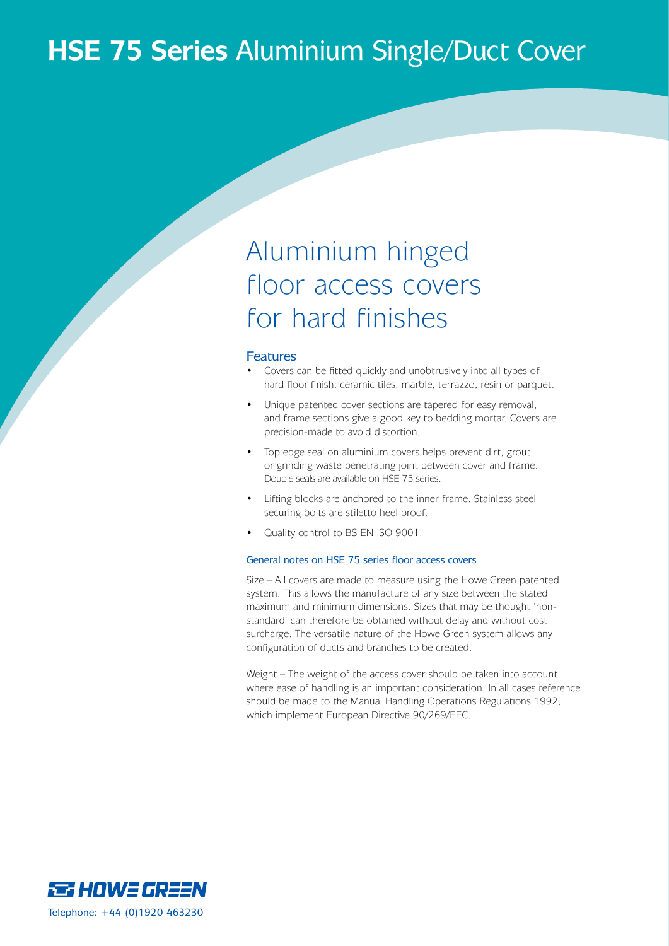## **HSE 75 Series** Aluminium Single/Duct Cover

## Aluminium hinged floor access covers for hard finishes

#### Features

- Covers can be fitted quickly and unobtrusively into all types of hard floor finish: ceramic tiles, marble, terrazzo, resin or parquet.
- Unique patented cover sections are tapered for easy removal, and frame sections give a good key to bedding mortar. Covers are precision-made to avoid distortion.
- Top edge seal on aluminium covers helps prevent dirt, grout or grinding waste penetrating joint between cover and frame. Double seals are available on HSE 75 series.
- Lifting blocks are anchored to the inner frame. Stainless steel securing bolts are stiletto heel proof.
- Quality control to BS EN ISO 9001.

#### General notes on HSE 75 series floor access covers

Size – All covers are made to measure using the Howe Green patented system. This allows the manufacture of any size between the stated maximum and minimum dimensions. Sizes that may be thought 'nonstandard' can therefore be obtained without delay and without cost surcharge. The versatile nature of the Howe Green system allows any configuration of ducts and branches to be created.

Weight – The weight of the access cover should be taken into account where ease of handling is an important consideration. In all cases reference should be made to the Manual Handling Operations Regulations 1992, which implement European Directive 90/269/EEC.